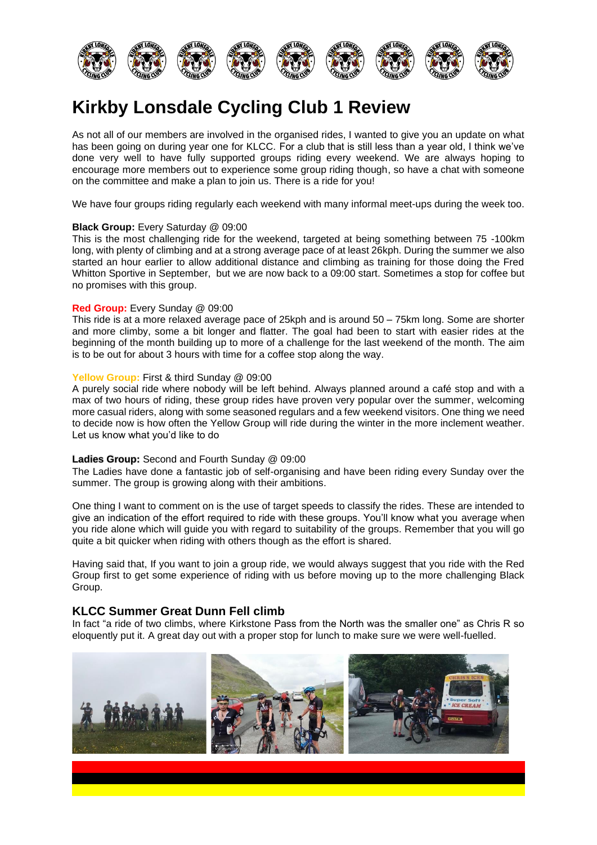

# **Kirkby Lonsdale Cycling Club 1 Review**

As not all of our members are involved in the organised rides, I wanted to give you an update on what has been going on during year one for KLCC. For a club that is still less than a year old, I think we've done very well to have fully supported groups riding every weekend. We are always hoping to encourage more members out to experience some group riding though, so have a chat with someone on the committee and make a plan to join us. There is a ride for you!

We have four groups riding regularly each weekend with many informal meet-ups during the week too.

### **Black Group:** Every Saturday @ 09:00

This is the most challenging ride for the weekend, targeted at being something between 75 -100km long, with plenty of climbing and at a strong average pace of at least 26kph. During the summer we also started an hour earlier to allow additional distance and climbing as training for those doing the Fred Whitton Sportive in September, but we are now back to a 09:00 start. Sometimes a stop for coffee but no promises with this group.

### **Red Group:** Every Sunday @ 09:00

This ride is at a more relaxed average pace of 25kph and is around 50 – 75km long. Some are shorter and more climby, some a bit longer and flatter. The goal had been to start with easier rides at the beginning of the month building up to more of a challenge for the last weekend of the month. The aim is to be out for about 3 hours with time for a coffee stop along the way.

### **Yellow Group:** First & third Sunday @ 09:00

A purely social ride where nobody will be left behind. Always planned around a café stop and with a max of two hours of riding, these group rides have proven very popular over the summer, welcoming more casual riders, along with some seasoned regulars and a few weekend visitors. One thing we need to decide now is how often the Yellow Group will ride during the winter in the more inclement weather. Let us know what you'd like to do

#### **Ladies Group:** Second and Fourth Sunday @ 09:00

The Ladies have done a fantastic job of self-organising and have been riding every Sunday over the summer. The group is growing along with their ambitions.

One thing I want to comment on is the use of target speeds to classify the rides. These are intended to give an indication of the effort required to ride with these groups. You'll know what you average when you ride alone which will guide you with regard to suitability of the groups. Remember that you will go quite a bit quicker when riding with others though as the effort is shared.

Having said that, If you want to join a group ride, we would always suggest that you ride with the Red Group first to get some experience of riding with us before moving up to the more challenging Black Group.

## **KLCC Summer Great Dunn Fell climb**

In fact "a ride of two climbs, where Kirkstone Pass from the North was the smaller one" as Chris R so eloquently put it. A great day out with a proper stop for lunch to make sure we were well-fuelled.

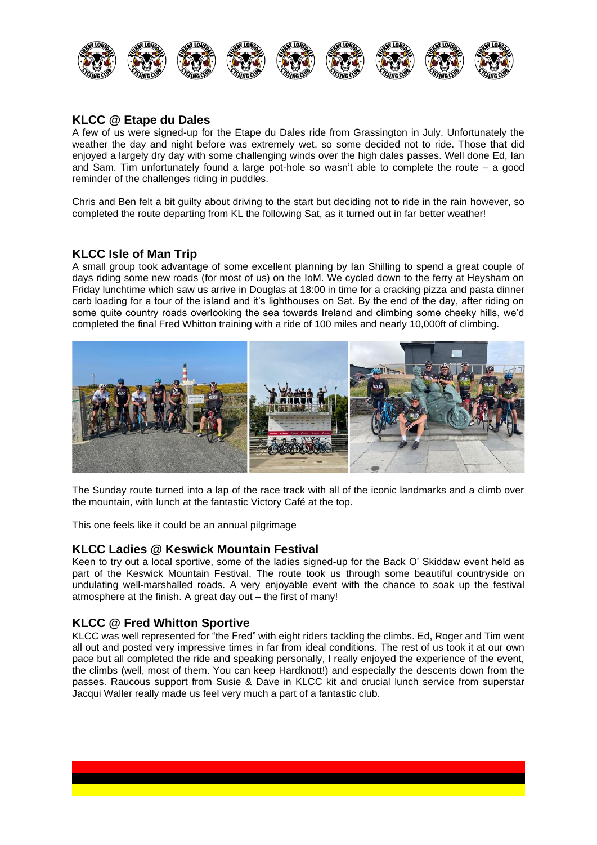

# **KLCC @ Etape du Dales**

A few of us were signed-up for the Etape du Dales ride from Grassington in July. Unfortunately the weather the day and night before was extremely wet, so some decided not to ride. Those that did enjoyed a largely dry day with some challenging winds over the high dales passes. Well done Ed, Ian and Sam. Tim unfortunately found a large pot-hole so wasn't able to complete the route – a good reminder of the challenges riding in puddles.

Chris and Ben felt a bit guilty about driving to the start but deciding not to ride in the rain however, so completed the route departing from KL the following Sat, as it turned out in far better weather!

## **KLCC Isle of Man Trip**

A small group took advantage of some excellent planning by Ian Shilling to spend a great couple of days riding some new roads (for most of us) on the IoM. We cycled down to the ferry at Heysham on Friday lunchtime which saw us arrive in Douglas at 18:00 in time for a cracking pizza and pasta dinner carb loading for a tour of the island and it's lighthouses on Sat. By the end of the day, after riding on some quite country roads overlooking the sea towards Ireland and climbing some cheeky hills, we'd completed the final Fred Whitton training with a ride of 100 miles and nearly 10,000ft of climbing.



The Sunday route turned into a lap of the race track with all of the iconic landmarks and a climb over the mountain, with lunch at the fantastic Victory Café at the top.

This one feels like it could be an annual pilgrimage

## **KLCC Ladies @ Keswick Mountain Festival**

Keen to try out a local sportive, some of the ladies signed-up for the Back O' Skiddaw event held as part of the Keswick Mountain Festival. The route took us through some beautiful countryside on undulating well-marshalled roads. A very enjoyable event with the chance to soak up the festival atmosphere at the finish. A great day out – the first of many!

# **KLCC @ Fred Whitton Sportive**

KLCC was well represented for "the Fred" with eight riders tackling the climbs. Ed, Roger and Tim went all out and posted very impressive times in far from ideal conditions. The rest of us took it at our own pace but all completed the ride and speaking personally, I really enjoyed the experience of the event, the climbs (well, most of them. You can keep Hardknott!) and especially the descents down from the passes. Raucous support from Susie & Dave in KLCC kit and crucial lunch service from superstar Jacqui Waller really made us feel very much a part of a fantastic club.